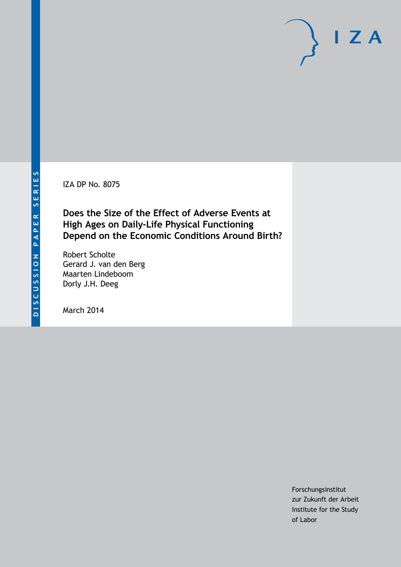IZA DP No. 8075

**Does the Size of the Effect of Adverse Events at High Ages on Daily-Life Physical Functioning Depend on the Economic Conditions Around Birth?**

Robert Scholte Gerard J. van den Berg Maarten Lindeboom Dorly J.H. Deeg

March 2014

Forschungsinstitut zur Zukunft der Arbeit Institute for the Study of Labor

 $I Z A$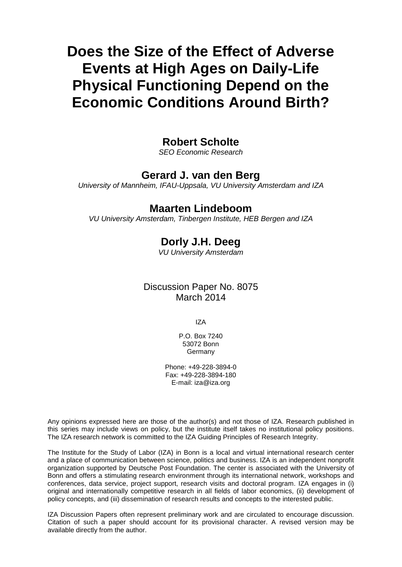# **Does the Size of the Effect of Adverse Events at High Ages on Daily-Life Physical Functioning Depend on the Economic Conditions Around Birth?**

## **Robert Scholte**

*SEO Economic Research*

## **Gerard J. van den Berg**

*University of Mannheim, IFAU-Uppsala, VU University Amsterdam and IZA*

## **Maarten Lindeboom**

*VU University Amsterdam, Tinbergen Institute, HEB Bergen and IZA*

## **Dorly J.H. Deeg**

*VU University Amsterdam*

Discussion Paper No. 8075 March 2014

IZA

P.O. Box 7240 53072 Bonn Germany

Phone: +49-228-3894-0 Fax: +49-228-3894-180 E-mail: [iza@iza.org](mailto:iza@iza.org)

Any opinions expressed here are those of the author(s) and not those of IZA. Research published in this series may include views on policy, but the institute itself takes no institutional policy positions. The IZA research network is committed to the IZA Guiding Principles of Research Integrity.

The Institute for the Study of Labor (IZA) in Bonn is a local and virtual international research center and a place of communication between science, politics and business. IZA is an independent nonprofit organization supported by Deutsche Post Foundation. The center is associated with the University of Bonn and offers a stimulating research environment through its international network, workshops and conferences, data service, project support, research visits and doctoral program. IZA engages in (i) original and internationally competitive research in all fields of labor economics, (ii) development of policy concepts, and (iii) dissemination of research results and concepts to the interested public.

<span id="page-1-0"></span>IZA Discussion Papers often represent preliminary work and are circulated to encourage discussion. Citation of such a paper should account for its provisional character. A revised version may be available directly from the author.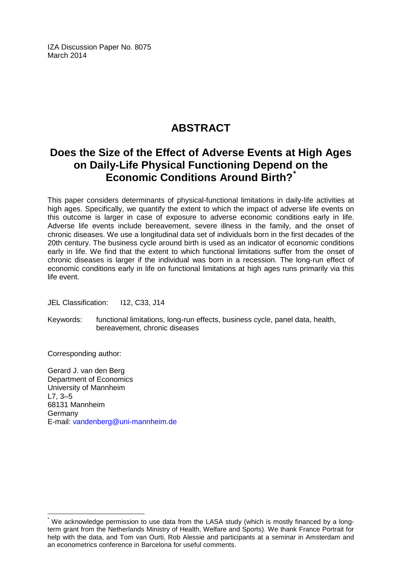IZA Discussion Paper No. 8075 March 2014

## **ABSTRACT**

## **Does the Size of the Effect of Adverse Events at High Ages on Daily-Life Physical Functioning Depend on the Economic Conditions Around Birth?[\\*](#page-1-0)**

This paper considers determinants of physical-functional limitations in daily-life activities at high ages. Specifically, we quantify the extent to which the impact of adverse life events on this outcome is larger in case of exposure to adverse economic conditions early in life. Adverse life events include bereavement, severe illness in the family, and the onset of chronic diseases. We use a longitudinal data set of individuals born in the first decades of the 20th century. The business cycle around birth is used as an indicator of economic conditions early in life. We find that the extent to which functional limitations suffer from the onset of chronic diseases is larger if the individual was born in a recession. The long-run effect of economic conditions early in life on functional limitations at high ages runs primarily via this life event.

JEL Classification: I12, C33, J14

Keywords: functional limitations, long-run effects, business cycle, panel data, health, bereavement, chronic diseases

Corresponding author:

Gerard J. van den Berg Department of Economics University of Mannheim L7, 3–5 68131 Mannheim Germany E-mail: [vandenberg@uni-mannheim.de](mailto:vandenberg@uni-mannheim.de)

We acknowledge permission to use data from the LASA study (which is mostly financed by a longterm grant from the Netherlands Ministry of Health, Welfare and Sports). We thank France Portrait for help with the data, and Tom van Ourti, Rob Alessie and participants at a seminar in Amsterdam and an econometrics conference in Barcelona for useful comments.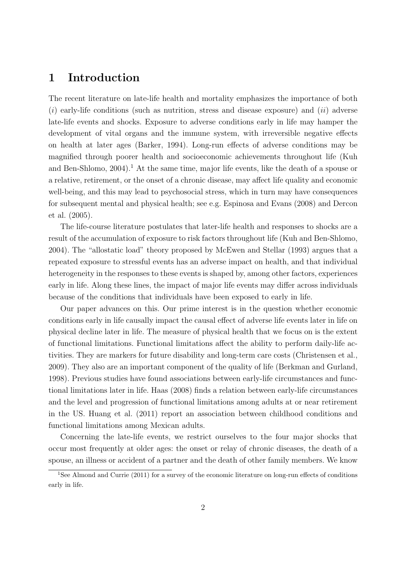### **1 Introduction**

The recent literature on late-life health and mortality emphasizes the importance of both (*i*) early-life conditions (such as nutrition, stress and disease exposure) and (*ii*) adverse late-life events and shocks. Exposure to adverse conditions early in life may hamper the development of vital organs and the immune system, with irreversible negative effects on health at later ages (Barker, 1994). Long-run effects of adverse conditions may be magnified through poorer health and socioeconomic achievements throughout life (Kuh and Ben-Shlomo,  $2004$ .<sup>1</sup> At the same time, major life events, like the death of a spouse or a relative, retirement, or the onset of a chronic disease, may affect life quality and economic well-being, and this may lead to psychosocial stress, which in turn may have consequences for subsequent mental and physical health; see e.g. Espinosa and Evans (2008) and Dercon et al. (2005).

The life-course literature postulates that later-life health and responses to shocks are a result of the accumulation of exposure to risk factors throughout life (Kuh and Ben-Shlomo, 2004). The "allostatic load" theory proposed by McEwen and Stellar (1993) argues that a repeated exposure to stressful events has an adverse impact on health, and that individual heterogeneity in the responses to these events is shaped by, among other factors, experiences early in life. Along these lines, the impact of major life events may differ across individuals because of the conditions that individuals have been exposed to early in life.

Our paper advances on this. Our prime interest is in the question whether economic conditions early in life causally impact the causal effect of adverse life events later in life on physical decline later in life. The measure of physical health that we focus on is the extent of functional limitations. Functional limitations affect the ability to perform daily-life activities. They are markers for future disability and long-term care costs (Christensen et al., 2009). They also are an important component of the quality of life (Berkman and Gurland, 1998). Previous studies have found associations between early-life circumstances and functional limitations later in life. Haas (2008) finds a relation between early-life circumstances and the level and progression of functional limitations among adults at or near retirement in the US. Huang et al. (2011) report an association between childhood conditions and functional limitations among Mexican adults.

Concerning the late-life events, we restrict ourselves to the four major shocks that occur most frequently at older ages: the onset or relay of chronic diseases, the death of a spouse, an illness or accident of a partner and the death of other family members. We know

<sup>&</sup>lt;sup>1</sup>See Almond and Currie (2011) for a survey of the economic literature on long-run effects of conditions early in life.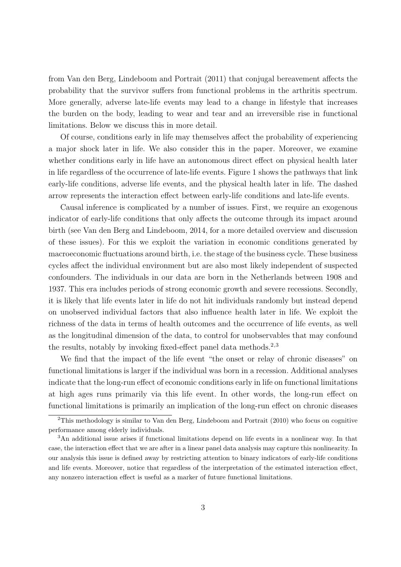from Van den Berg, Lindeboom and Portrait (2011) that conjugal bereavement affects the probability that the survivor suffers from functional problems in the arthritis spectrum. More generally, adverse late-life events may lead to a change in lifestyle that increases the burden on the body, leading to wear and tear and an irreversible rise in functional limitations. Below we discuss this in more detail.

Of course, conditions early in life may themselves affect the probability of experiencing a major shock later in life. We also consider this in the paper. Moreover, we examine whether conditions early in life have an autonomous direct effect on physical health later in life regardless of the occurrence of late-life events. Figure 1 shows the pathways that link early-life conditions, adverse life events, and the physical health later in life. The dashed arrow represents the interaction effect between early-life conditions and late-life events.

Causal inference is complicated by a number of issues. First, we require an exogenous indicator of early-life conditions that only affects the outcome through its impact around birth (see Van den Berg and Lindeboom, 2014, for a more detailed overview and discussion of these issues). For this we exploit the variation in economic conditions generated by macroeconomic fluctuations around birth, i.e. the stage of the business cycle. These business cycles affect the individual environment but are also most likely independent of suspected confounders. The individuals in our data are born in the Netherlands between 1908 and 1937. This era includes periods of strong economic growth and severe recessions. Secondly, it is likely that life events later in life do not hit individuals randomly but instead depend on unobserved individual factors that also influence health later in life. We exploit the richness of the data in terms of health outcomes and the occurrence of life events, as well as the longitudinal dimension of the data, to control for unobservables that may confound the results, notably by invoking fixed-effect panel data methods.<sup>2</sup>*,*<sup>3</sup>

We find that the impact of the life event "the onset or relay of chronic diseases" on functional limitations is larger if the individual was born in a recession. Additional analyses indicate that the long-run effect of economic conditions early in life on functional limitations at high ages runs primarily via this life event. In other words, the long-run effect on functional limitations is primarily an implication of the long-run effect on chronic diseases

<sup>2</sup>This methodology is similar to Van den Berg, Lindeboom and Portrait (2010) who focus on cognitive performance among elderly individuals.

<sup>3</sup>An additional issue arises if functional limitations depend on life events in a nonlinear way. In that case, the interaction effect that we are after in a linear panel data analysis may capture this nonlinearity. In our analysis this issue is defined away by restricting attention to binary indicators of early-life conditions and life events. Moreover, notice that regardless of the interpretation of the estimated interaction effect, any nonzero interaction effect is useful as a marker of future functional limitations.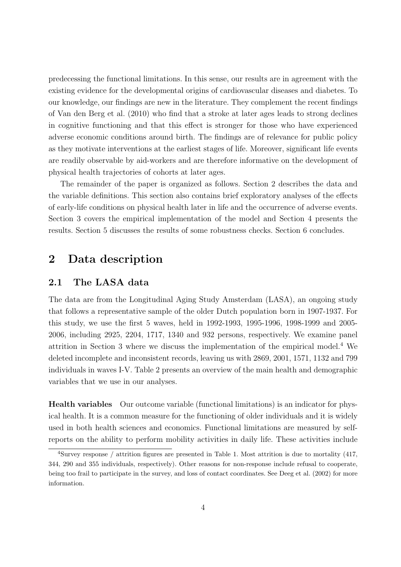predecessing the functional limitations. In this sense, our results are in agreement with the existing evidence for the developmental origins of cardiovascular diseases and diabetes. To our knowledge, our findings are new in the literature. They complement the recent findings of Van den Berg et al. (2010) who find that a stroke at later ages leads to strong declines in cognitive functioning and that this effect is stronger for those who have experienced adverse economic conditions around birth. The findings are of relevance for public policy as they motivate interventions at the earliest stages of life. Moreover, significant life events are readily observable by aid-workers and are therefore informative on the development of physical health trajectories of cohorts at later ages.

The remainder of the paper is organized as follows. Section 2 describes the data and the variable definitions. This section also contains brief exploratory analyses of the effects of early-life conditions on physical health later in life and the occurrence of adverse events. Section 3 covers the empirical implementation of the model and Section 4 presents the results. Section 5 discusses the results of some robustness checks. Section 6 concludes.

## **2 Data description**

#### **2.1 The LASA data**

The data are from the Longitudinal Aging Study Amsterdam (LASA), an ongoing study that follows a representative sample of the older Dutch population born in 1907-1937. For this study, we use the first 5 waves, held in 1992-1993, 1995-1996, 1998-1999 and 2005- 2006, including 2925, 2204, 1717, 1340 and 932 persons, respectively. We examine panel attrition in Section 3 where we discuss the implementation of the empirical model.<sup>4</sup> We deleted incomplete and inconsistent records, leaving us with 2869, 2001, 1571, 1132 and 799 individuals in waves I-V. Table 2 presents an overview of the main health and demographic variables that we use in our analyses.

**Health variables** Our outcome variable (functional limitations) is an indicator for physical health. It is a common measure for the functioning of older individuals and it is widely used in both health sciences and economics. Functional limitations are measured by selfreports on the ability to perform mobility activities in daily life. These activities include

<sup>4</sup>Survey response / attrition figures are presented in Table 1. Most attrition is due to mortality (417, 344, 290 and 355 individuals, respectively). Other reasons for non-response include refusal to cooperate, being too frail to participate in the survey, and loss of contact coordinates. See Deeg et al. (2002) for more information.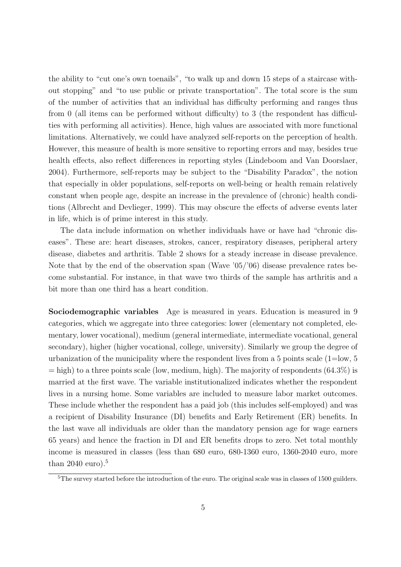the ability to "cut one's own toenails", "to walk up and down 15 steps of a staircase without stopping" and "to use public or private transportation". The total score is the sum of the number of activities that an individual has difficulty performing and ranges thus from 0 (all items can be performed without difficulty) to 3 (the respondent has difficulties with performing all activities). Hence, high values are associated with more functional limitations. Alternatively, we could have analyzed self-reports on the perception of health. However, this measure of health is more sensitive to reporting errors and may, besides true health effects, also reflect differences in reporting styles (Lindeboom and Van Doorslaer, 2004). Furthermore, self-reports may be subject to the "Disability Paradox", the notion that especially in older populations, self-reports on well-being or health remain relatively constant when people age, despite an increase in the prevalence of (chronic) health conditions (Albrecht and Devlieger, 1999). This may obscure the effects of adverse events later in life, which is of prime interest in this study.

The data include information on whether individuals have or have had "chronic diseases". These are: heart diseases, strokes, cancer, respiratory diseases, peripheral artery disease, diabetes and arthritis. Table 2 shows for a steady increase in disease prevalence. Note that by the end of the observation span (Wave '05/'06) disease prevalence rates become substantial. For instance, in that wave two thirds of the sample has arthritis and a bit more than one third has a heart condition.

**Sociodemographic variables** Age is measured in years. Education is measured in 9 categories, which we aggregate into three categories: lower (elementary not completed, elementary, lower vocational), medium (general intermediate, intermediate vocational, general secondary), higher (higher vocational, college, university). Similarly we group the degree of urbanization of the municipality where the respondent lives from a 5 points scale  $(1=low, 5)$  $=$  high) to a three points scale (low, medium, high). The majority of respondents (64.3%) is married at the first wave. The variable institutionalized indicates whether the respondent lives in a nursing home. Some variables are included to measure labor market outcomes. These include whether the respondent has a paid job (this includes self-employed) and was a recipient of Disability Insurance (DI) benefits and Early Retirement (ER) benefits. In the last wave all individuals are older than the mandatory pension age for wage earners 65 years) and hence the fraction in DI and ER benefits drops to zero. Net total monthly income is measured in classes (less than 680 euro, 680-1360 euro, 1360-2040 euro, more than 2040 euro). $5$ 

 $5$ The survey started before the introduction of the euro. The original scale was in classes of 1500 guilders.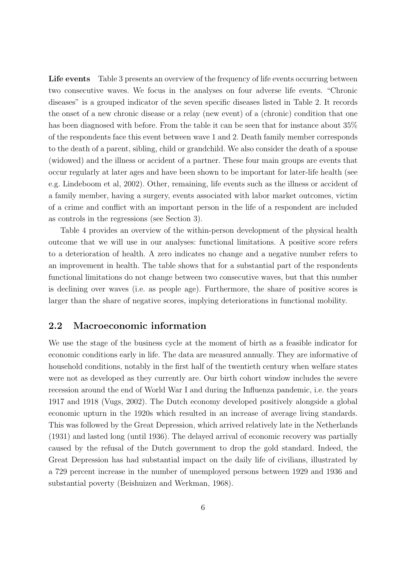Life events Table 3 presents an overview of the frequency of life events occurring between two consecutive waves. We focus in the analyses on four adverse life events. "Chronic diseases" is a grouped indicator of the seven specific diseases listed in Table 2. It records the onset of a new chronic disease or a relay (new event) of a (chronic) condition that one has been diagnosed with before. From the table it can be seen that for instance about 35% of the respondents face this event between wave 1 and 2. Death family member corresponds to the death of a parent, sibling, child or grandchild. We also consider the death of a spouse (widowed) and the illness or accident of a partner. These four main groups are events that occur regularly at later ages and have been shown to be important for later-life health (see e.g. Lindeboom et al, 2002). Other, remaining, life events such as the illness or accident of a family member, having a surgery, events associated with labor market outcomes, victim of a crime and conflict with an important person in the life of a respondent are included as controls in the regressions (see Section 3).

Table 4 provides an overview of the within-person development of the physical health outcome that we will use in our analyses: functional limitations. A positive score refers to a deterioration of health. A zero indicates no change and a negative number refers to an improvement in health. The table shows that for a substantial part of the respondents functional limitations do not change between two consecutive waves, but that this number is declining over waves (i.e. as people age). Furthermore, the share of positive scores is larger than the share of negative scores, implying deteriorations in functional mobility.

#### **2.2 Macroeconomic information**

We use the stage of the business cycle at the moment of birth as a feasible indicator for economic conditions early in life. The data are measured annually. They are informative of household conditions, notably in the first half of the twentieth century when welfare states were not as developed as they currently are. Our birth cohort window includes the severe recession around the end of World War I and during the Influenza pandemic, i.e. the years 1917 and 1918 (Vugs, 2002). The Dutch economy developed positively alongside a global economic upturn in the 1920s which resulted in an increase of average living standards. This was followed by the Great Depression, which arrived relatively late in the Netherlands (1931) and lasted long (until 1936). The delayed arrival of economic recovery was partially caused by the refusal of the Dutch government to drop the gold standard. Indeed, the Great Depression has had substantial impact on the daily life of civilians, illustrated by a 729 percent increase in the number of unemployed persons between 1929 and 1936 and substantial poverty (Beishuizen and Werkman, 1968).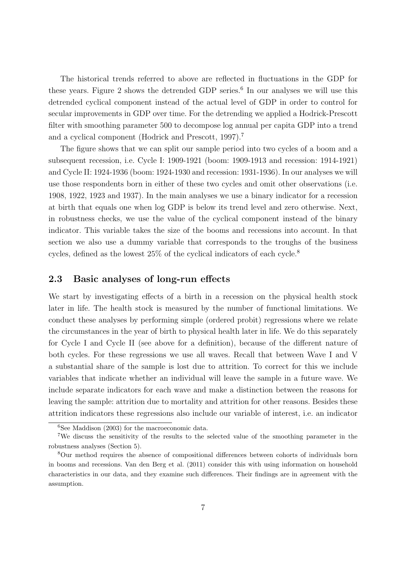The historical trends referred to above are reflected in fluctuations in the GDP for these years. Figure 2 shows the detrended GDP series.<sup>6</sup> In our analyses we will use this detrended cyclical component instead of the actual level of GDP in order to control for secular improvements in GDP over time. For the detrending we applied a Hodrick-Prescott filter with smoothing parameter 500 to decompose log annual per capita GDP into a trend and a cyclical component (Hodrick and Prescott, 1997).<sup>7</sup>

The figure shows that we can split our sample period into two cycles of a boom and a subsequent recession, i.e. Cycle I: 1909-1921 (boom: 1909-1913 and recession: 1914-1921) and Cycle II: 1924-1936 (boom: 1924-1930 and recession: 1931-1936). In our analyses we will use those respondents born in either of these two cycles and omit other observations (i.e. 1908, 1922, 1923 and 1937). In the main analyses we use a binary indicator for a recession at birth that equals one when log GDP is below its trend level and zero otherwise. Next, in robustness checks, we use the value of the cyclical component instead of the binary indicator. This variable takes the size of the booms and recessions into account. In that section we also use a dummy variable that corresponds to the troughs of the business cycles, defined as the lowest  $25\%$  of the cyclical indicators of each cycle.<sup>8</sup>

#### **2.3 Basic analyses of long-run effects**

We start by investigating effects of a birth in a recession on the physical health stock later in life. The health stock is measured by the number of functional limitations. We conduct these analyses by performing simple (ordered probit) regressions where we relate the circumstances in the year of birth to physical health later in life. We do this separately for Cycle I and Cycle II (see above for a definition), because of the different nature of both cycles. For these regressions we use all waves. Recall that between Wave I and V a substantial share of the sample is lost due to attrition. To correct for this we include variables that indicate whether an individual will leave the sample in a future wave. We include separate indicators for each wave and make a distinction between the reasons for leaving the sample: attrition due to mortality and attrition for other reasons. Besides these attrition indicators these regressions also include our variable of interest, i.e. an indicator

 ${}^{6}$ See Maddison (2003) for the macroeconomic data.

<sup>7</sup>We discuss the sensitivity of the results to the selected value of the smoothing parameter in the robustness analyses (Section 5).

<sup>8</sup>Our method requires the absence of compositional differences between cohorts of individuals born in booms and recessions. Van den Berg et al. (2011) consider this with using information on household characteristics in our data, and they examine such differences. Their findings are in agreement with the assumption.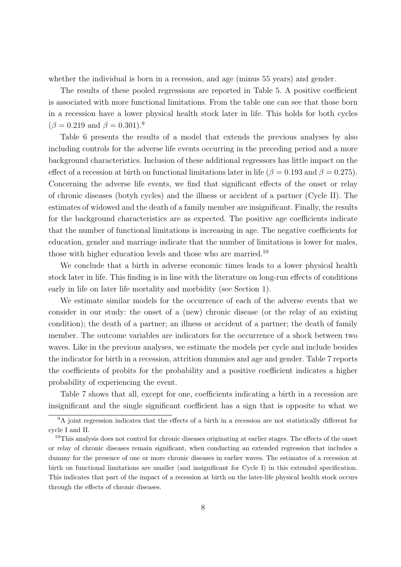whether the individual is born in a recession, and age (minus 55 years) and gender.

The results of these pooled regressions are reported in Table 5. A positive coefficient is associated with more functional limitations. From the table one can see that those born in a recession have a lower physical health stock later in life. This holds for both cycles  $(\beta = 0.219 \text{ and } \beta = 0.301).$ <sup>9</sup>

Table 6 presents the results of a model that extends the previous analyses by also including controls for the adverse life events occurring in the preceding period and a more background characteristics. Inclusion of these additional regressors has little impact on the effect of a recession at birth on functional limitations later in life ( $\beta = 0.193$  and  $\beta = 0.275$ ). Concerning the adverse life events, we find that significant effects of the onset or relay of chronic diseases (botyh cycles) and the illness or accident of a partner (Cycle II). The estimates of widowed and the death of a family member are insignificant. Finally, the results for the background characteristics are as expected. The positive age coefficients indicate that the number of functional limitations is increasing in age. The negative coefficients for education, gender and marriage indicate that the number of limitations is lower for males, those with higher education levels and those who are married.<sup>10</sup>

We conclude that a birth in adverse economic times leads to a lower physical health stock later in life. This finding is in line with the literature on long-run effects of conditions early in life on later life mortality and morbidity (see Section 1).

We estimate similar models for the occurrence of each of the adverse events that we consider in our study: the onset of a (new) chronic disease (or the relay of an existing condition); the death of a partner; an illness or accident of a partner; the death of family member. The outcome variables are indicators for the occurrence of a shock between two waves. Like in the previous analyses, we estimate the models per cycle and include besides the indicator for birth in a recession, attrition dummies and age and gender. Table 7 reports the coefficients of probits for the probability and a positive coefficient indicates a higher probability of experiencing the event.

Table 7 shows that all, except for one, coefficients indicating a birth in a recession are insignificant and the single significant coefficient has a sign that is opposite to what we

<sup>&</sup>lt;sup>9</sup>A joint regression indicates that the effects of a birth in a recession are not statistically different for cycle I and II.

<sup>&</sup>lt;sup>10</sup>This analysis does not control for chronic diseases originating at earlier stages. The effects of the onset or relay of chronic diseases remain significant, when conducting an extended regression that includes a dummy for the presence of one or more chronic diseases in earlier waves. The estimates of a recession at birth on functional limitations are smaller (and insignificant for Cycle I) in this extended specification. This indicates that part of the impact of a recession at birth on the later-life physical health stock occurs through the effects of chronic diseases.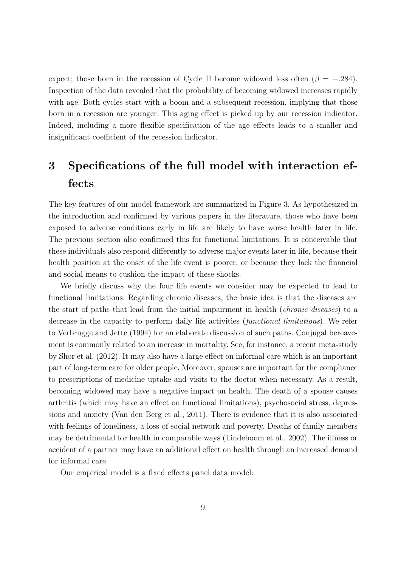expect; those born in the recession of Cycle II become widowed less often  $(\beta = -0.284)$ . Inspection of the data revealed that the probability of becoming widowed increases rapidly with age. Both cycles start with a boom and a subsequent recession, implying that those born in a recession are younger. This aging effect is picked up by our recession indicator. Indeed, including a more flexible specification of the age effects leads to a smaller and insignificant coefficient of the recession indicator.

## **3 Specifications of the full model with interaction effects**

The key features of our model framework are summarized in Figure 3. As hypothesized in the introduction and confirmed by various papers in the literature, those who have been exposed to adverse conditions early in life are likely to have worse health later in life. The previous section also confirmed this for functional limitations. It is conceivable that these individuals also respond differently to adverse major events later in life, because their health position at the onset of the life event is poorer, or because they lack the financial and social means to cushion the impact of these shocks.

We briefly discuss why the four life events we consider may be expected to lead to functional limitations. Regarding chronic diseases, the basic idea is that the diseases are the start of paths that lead from the initial impairment in health (*chronic diseases*) to a decrease in the capacity to perform daily life activities (*functional limitations*). We refer to Verbrugge and Jette (1994) for an elaborate discussion of such paths. Conjugal bereavement is commonly related to an increase in mortality. See, for instance, a recent meta-study by Shor et al. (2012). It may also have a large effect on informal care which is an important part of long-term care for older people. Moreover, spouses are important for the compliance to prescriptions of medicine uptake and visits to the doctor when necessary. As a result, becoming widowed may have a negative impact on health. The death of a spouse causes arthritis (which may have an effect on functional limitations), psychosocial stress, depressions and anxiety (Van den Berg et al., 2011). There is evidence that it is also associated with feelings of loneliness, a loss of social network and poverty. Deaths of family members may be detrimental for health in comparable ways (Lindeboom et al., 2002). The illness or accident of a partner may have an additional effect on health through an increased demand for informal care.

Our empirical model is a fixed effects panel data model: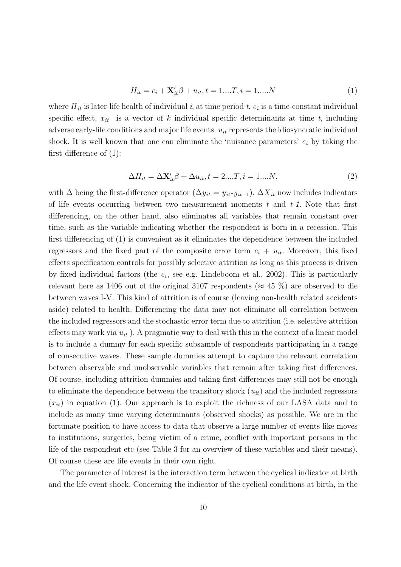$$
H_{it} = c_i + \mathbf{X}'_{it}\beta + u_{it}, t = 1...T, i = 1...N
$$
\n(1)

where  $H_{it}$  is later-life health of individual *i*, at time period *t*.  $c_i$  is a time-constant individual specific effect,  $x_{it}$  is a vector of  $k$  individual specific determinants at time  $t$ , including adverse early-life conditions and major life events. *uit* represents the idiosyncratic individual shock. It is well known that one can eliminate the 'nuisance parameters' *c<sup>i</sup>* by taking the first difference of (1):

$$
\Delta H_{it} = \Delta \mathbf{X}_{it}' \boldsymbol{\beta} + \Delta u_{it}, t = 2...T, i = 1...N.
$$
\n
$$
(2)
$$

with  $\Delta$  being the first-difference operator  $(\Delta y_{it} = y_{it} \cdot y_{it-1})$ .  $\Delta X_{it}$  now includes indicators of life events occurring between two measurement moments *t* and *t-1*. Note that first differencing, on the other hand, also eliminates all variables that remain constant over time, such as the variable indicating whether the respondent is born in a recession. This first differencing of (1) is convenient as it eliminates the dependence between the included regressors and the fixed part of the composite error term  $c_i + u_{it}$ . Moreover, this fixed effects specification controls for possibly selective attrition as long as this process is driven by fixed individual factors (the  $c_i$ , see e.g. Lindeboom et al., 2002). This is particularly relevant here as 1406 out of the original 3107 respondents (*≈* 45 %) are observed to die between waves I-V. This kind of attrition is of course (leaving non-health related accidents aside) related to health. Differencing the data may not eliminate all correlation between the included regressors and the stochastic error term due to attrition (i.e. selective attrition effects may work via  $u_{it}$ ). A pragmatic way to deal with this in the context of a linear model is to include a dummy for each specific subsample of respondents participating in a range of consecutive waves. These sample dummies attempt to capture the relevant correlation between observable and unobservable variables that remain after taking first differences. Of course, including attrition dummies and taking first differences may still not be enough to eliminate the dependence between the transitory shock (*uit*) and the included regressors  $(x<sub>it</sub>)$  in equation (1). Our approach is to exploit the richness of our LASA data and to include as many time varying determinants (observed shocks) as possible. We are in the fortunate position to have access to data that observe a large number of events like moves to institutions, surgeries, being victim of a crime, conflict with important persons in the life of the respondent etc (see Table 3 for an overview of these variables and their means). Of course these are life events in their own right.

The parameter of interest is the interaction term between the cyclical indicator at birth and the life event shock. Concerning the indicator of the cyclical conditions at birth, in the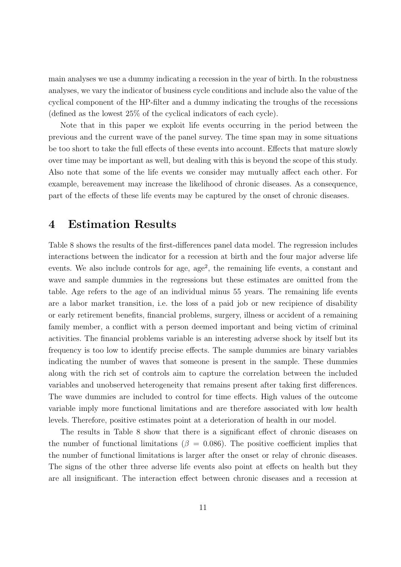main analyses we use a dummy indicating a recession in the year of birth. In the robustness analyses, we vary the indicator of business cycle conditions and include also the value of the cyclical component of the HP-filter and a dummy indicating the troughs of the recessions (defined as the lowest 25% of the cyclical indicators of each cycle).

Note that in this paper we exploit life events occurring in the period between the previous and the current wave of the panel survey. The time span may in some situations be too short to take the full effects of these events into account. Effects that mature slowly over time may be important as well, but dealing with this is beyond the scope of this study. Also note that some of the life events we consider may mutually affect each other. For example, bereavement may increase the likelihood of chronic diseases. As a consequence, part of the effects of these life events may be captured by the onset of chronic diseases.

## **4 Estimation Results**

Table 8 shows the results of the first-differences panel data model. The regression includes interactions between the indicator for a recession at birth and the four major adverse life events. We also include controls for age, age<sup>2</sup>, the remaining life events, a constant and wave and sample dummies in the regressions but these estimates are omitted from the table. Age refers to the age of an individual minus 55 years. The remaining life events are a labor market transition, i.e. the loss of a paid job or new recipience of disability or early retirement benefits, financial problems, surgery, illness or accident of a remaining family member, a conflict with a person deemed important and being victim of criminal activities. The financial problems variable is an interesting adverse shock by itself but its frequency is too low to identify precise effects. The sample dummies are binary variables indicating the number of waves that someone is present in the sample. These dummies along with the rich set of controls aim to capture the correlation between the included variables and unobserved heterogeneity that remains present after taking first differences. The wave dummies are included to control for time effects. High values of the outcome variable imply more functional limitations and are therefore associated with low health levels. Therefore, positive estimates point at a deterioration of health in our model.

The results in Table 8 show that there is a significant effect of chronic diseases on the number of functional limitations ( $\beta = 0.086$ ). The positive coefficient implies that the number of functional limitations is larger after the onset or relay of chronic diseases. The signs of the other three adverse life events also point at effects on health but they are all insignificant. The interaction effect between chronic diseases and a recession at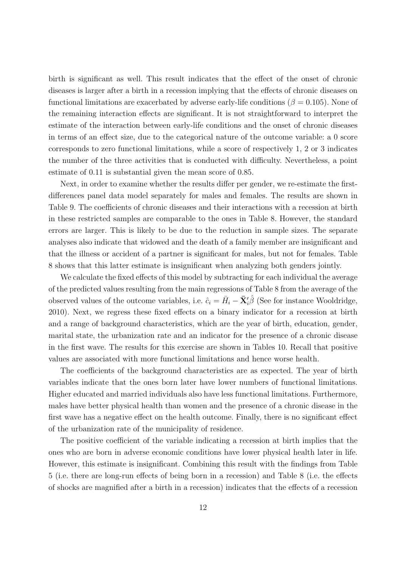birth is significant as well. This result indicates that the effect of the onset of chronic diseases is larger after a birth in a recession implying that the effects of chronic diseases on functional limitations are exacerbated by adverse early-life conditions ( $\beta = 0.105$ ). None of the remaining interaction effects are significant. It is not straightforward to interpret the estimate of the interaction between early-life conditions and the onset of chronic diseases in terms of an effect size, due to the categorical nature of the outcome variable: a 0 score corresponds to zero functional limitations, while a score of respectively 1, 2 or 3 indicates the number of the three activities that is conducted with difficulty. Nevertheless, a point estimate of 0.11 is substantial given the mean score of 0.85.

Next, in order to examine whether the results differ per gender, we re-estimate the firstdifferences panel data model separately for males and females. The results are shown in Table 9. The coefficients of chronic diseases and their interactions with a recession at birth in these restricted samples are comparable to the ones in Table 8. However, the standard errors are larger. This is likely to be due to the reduction in sample sizes. The separate analyses also indicate that widowed and the death of a family member are insignificant and that the illness or accident of a partner is significant for males, but not for females. Table 8 shows that this latter estimate is insignificant when analyzing both genders jointly.

We calculate the fixed effects of this model by subtracting for each individual the average of the predicted values resulting from the main regressions of Table 8 from the average of the observed values of the outcome variables, i.e.  $\hat{c}_i = \bar{H}_i - \bar{\mathbf{X}}'_i \hat{\beta}$  (See for instance Wooldridge, 2010). Next, we regress these fixed effects on a binary indicator for a recession at birth and a range of background characteristics, which are the year of birth, education, gender, marital state, the urbanization rate and an indicator for the presence of a chronic disease in the first wave. The results for this exercise are shown in Tables 10. Recall that positive values are associated with more functional limitations and hence worse health.

The coefficients of the background characteristics are as expected. The year of birth variables indicate that the ones born later have lower numbers of functional limitations. Higher educated and married individuals also have less functional limitations. Furthermore, males have better physical health than women and the presence of a chronic disease in the first wave has a negative effect on the health outcome. Finally, there is no significant effect of the urbanization rate of the municipality of residence.

The positive coefficient of the variable indicating a recession at birth implies that the ones who are born in adverse economic conditions have lower physical health later in life. However, this estimate is insignificant. Combining this result with the findings from Table 5 (i.e. there are long-run effects of being born in a recession) and Table 8 (i.e. the effects of shocks are magnified after a birth in a recession) indicates that the effects of a recession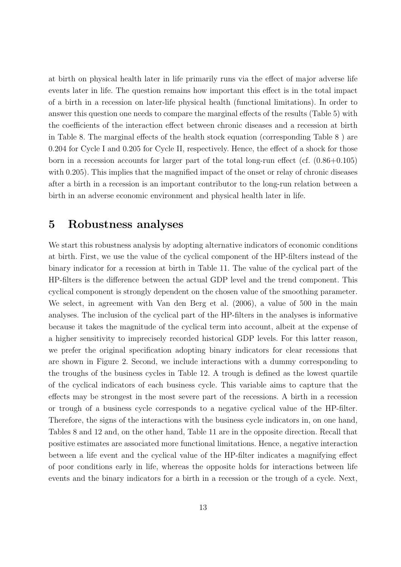at birth on physical health later in life primarily runs via the effect of major adverse life events later in life. The question remains how important this effect is in the total impact of a birth in a recession on later-life physical health (functional limitations). In order to answer this question one needs to compare the marginal effects of the results (Table 5) with the coefficients of the interaction effect between chronic diseases and a recession at birth in Table 8. The marginal effects of the health stock equation (corresponding Table 8 ) are 0.204 for Cycle I and 0.205 for Cycle II, respectively. Hence, the effect of a shock for those born in a recession accounts for larger part of the total long-run effect (cf. (0.86+0.105) with 0.205). This implies that the magnified impact of the onset or relay of chronic diseases after a birth in a recession is an important contributor to the long-run relation between a birth in an adverse economic environment and physical health later in life.

## **5 Robustness analyses**

We start this robustness analysis by adopting alternative indicators of economic conditions at birth. First, we use the value of the cyclical component of the HP-filters instead of the binary indicator for a recession at birth in Table 11. The value of the cyclical part of the HP-filters is the difference between the actual GDP level and the trend component. This cyclical component is strongly dependent on the chosen value of the smoothing parameter. We select, in agreement with Van den Berg et al. (2006), a value of 500 in the main analyses. The inclusion of the cyclical part of the HP-filters in the analyses is informative because it takes the magnitude of the cyclical term into account, albeit at the expense of a higher sensitivity to imprecisely recorded historical GDP levels. For this latter reason, we prefer the original specification adopting binary indicators for clear recessions that are shown in Figure 2. Second, we include interactions with a dummy corresponding to the troughs of the business cycles in Table 12. A trough is defined as the lowest quartile of the cyclical indicators of each business cycle. This variable aims to capture that the effects may be strongest in the most severe part of the recessions. A birth in a recession or trough of a business cycle corresponds to a negative cyclical value of the HP-filter. Therefore, the signs of the interactions with the business cycle indicators in, on one hand, Tables 8 and 12 and, on the other hand, Table 11 are in the opposite direction. Recall that positive estimates are associated more functional limitations. Hence, a negative interaction between a life event and the cyclical value of the HP-filter indicates a magnifying effect of poor conditions early in life, whereas the opposite holds for interactions between life events and the binary indicators for a birth in a recession or the trough of a cycle. Next,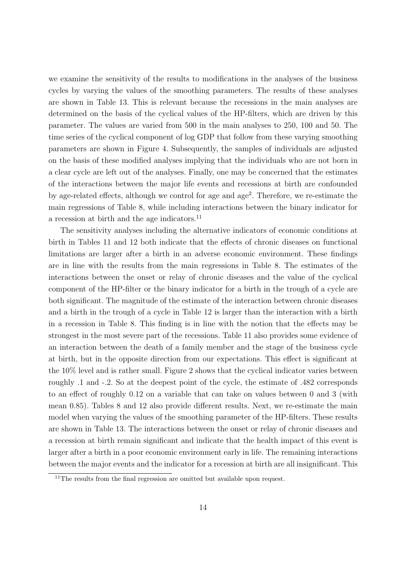we examine the sensitivity of the results to modifications in the analyses of the business cycles by varying the values of the smoothing parameters. The results of these analyses are shown in Table 13. This is relevant because the recessions in the main analyses are determined on the basis of the cyclical values of the HP-filters, which are driven by this parameter. The values are varied from 500 in the main analyses to 250, 100 and 50. The time series of the cyclical component of log GDP that follow from these varying smoothing parameters are shown in Figure 4. Subsequently, the samples of individuals are adjusted on the basis of these modified analyses implying that the individuals who are not born in a clear cycle are left out of the analyses. Finally, one may be concerned that the estimates of the interactions between the major life events and recessions at birth are confounded by age-related effects, although we control for age and age<sup>2</sup>. Therefore, we re-estimate the main regressions of Table 8, while including interactions between the binary indicator for a recession at birth and the age indicators.<sup>11</sup>

The sensitivity analyses including the alternative indicators of economic conditions at birth in Tables 11 and 12 both indicate that the effects of chronic diseases on functional limitations are larger after a birth in an adverse economic environment. These findings are in line with the results from the main regressions in Table 8. The estimates of the interactions between the onset or relay of chronic diseases and the value of the cyclical component of the HP-filter or the binary indicator for a birth in the trough of a cycle are both significant. The magnitude of the estimate of the interaction between chronic diseases and a birth in the trough of a cycle in Table 12 is larger than the interaction with a birth in a recession in Table 8. This finding is in line with the notion that the effects may be strongest in the most severe part of the recessions. Table 11 also provides some evidence of an interaction between the death of a family member and the stage of the business cycle at birth, but in the opposite direction from our expectations. This effect is significant at the 10% level and is rather small. Figure 2 shows that the cyclical indicator varies between roughly .1 and -.2. So at the deepest point of the cycle, the estimate of .482 corresponds to an effect of roughly 0.12 on a variable that can take on values between 0 and 3 (with mean 0.85). Tables 8 and 12 also provide different results. Next, we re-estimate the main model when varying the values of the smoothing parameter of the HP-filters. These results are shown in Table 13. The interactions between the onset or relay of chronic diseases and a recession at birth remain significant and indicate that the health impact of this event is larger after a birth in a poor economic environment early in life. The remaining interactions between the major events and the indicator for a recession at birth are all insignificant. This

<sup>&</sup>lt;sup>11</sup>The results from the final regression are omitted but available upon request.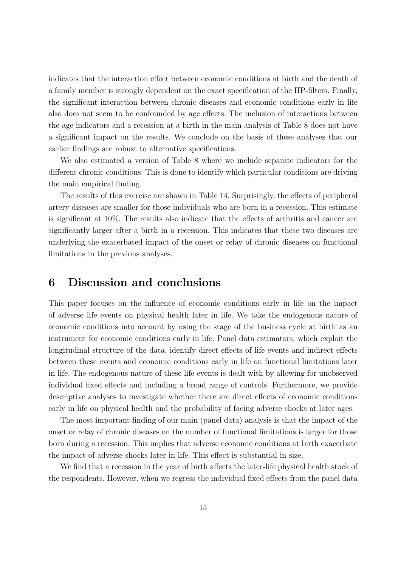indicates that the interaction effect between economic conditions at birth and the death of a family member is strongly dependent on the exact specification of the HP-filters. Finally, the significant interaction between chronic diseases and economic conditions early in life also does not seem to be confounded by age effects. The inclusion of interactions between the age indicators and a recession at a birth in the main analysis of Table 8 does not have a significant impact on the results. We conclude on the basis of these analyses that our earlier findings are robust to alternative specifications.

We also estimated a version of Table 8 where we include separate indicators for the different chronic conditions. This is done to identify which particular conditions are driving the main empirical finding.

The results of this exercise are shown in Table 14. Surprisingly, the effects of peripheral artery diseases are smaller for those individuals who are born in a recession. This estimate is significant at 10%. The results also indicate that the effects of arthritis and cancer are significantly larger after a birth in a recession. This indicates that these two diseases are underlying the exacerbated impact of the onset or relay of chronic diseases on functional limitations in the previous analyses.

## **6 Discussion and conclusions**

This paper focuses on the influence of economic conditions early in life on the impact of adverse life events on physical health later in life. We take the endogenous nature of economic conditions into account by using the stage of the business cycle at birth as an instrument for economic conditions early in life. Panel data estimators, which exploit the longitudinal structure of the data, identify direct effects of life events and indirect effects between these events and economic conditions early in life on functional limitations later in life. The endogenous nature of these life events is dealt with by allowing for unobserved individual fixed effects and including a broad range of controls. Furthermore, we provide descriptive analyses to investigate whether there are direct effects of economic conditions early in life on physical health and the probability of facing adverse shocks at later ages.

The most important finding of our main (panel data) analysis is that the impact of the onset or relay of chronic diseases on the number of functional limitations is larger for those born during a recession. This implies that adverse economic conditions at birth exacerbate the impact of adverse shocks later in life. This effect is substantial in size.

We find that a recession in the year of birth affects the later-life physical health stock of the respondents. However, when we regress the individual fixed effects from the panel data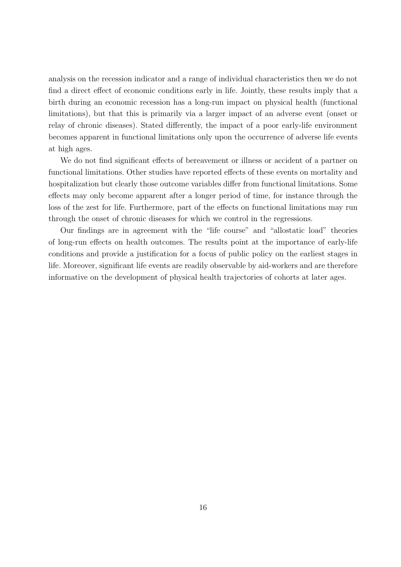analysis on the recession indicator and a range of individual characteristics then we do not find a direct effect of economic conditions early in life. Jointly, these results imply that a birth during an economic recession has a long-run impact on physical health (functional limitations), but that this is primarily via a larger impact of an adverse event (onset or relay of chronic diseases). Stated differently, the impact of a poor early-life environment becomes apparent in functional limitations only upon the occurrence of adverse life events at high ages.

We do not find significant effects of bereavement or illness or accident of a partner on functional limitations. Other studies have reported effects of these events on mortality and hospitalization but clearly those outcome variables differ from functional limitations. Some effects may only become apparent after a longer period of time, for instance through the loss of the zest for life. Furthermore, part of the effects on functional limitations may run through the onset of chronic diseases for which we control in the regressions.

Our findings are in agreement with the "life course" and "allostatic load" theories of long-run effects on health outcomes. The results point at the importance of early-life conditions and provide a justification for a focus of public policy on the earliest stages in life. Moreover, significant life events are readily observable by aid-workers and are therefore informative on the development of physical health trajectories of cohorts at later ages.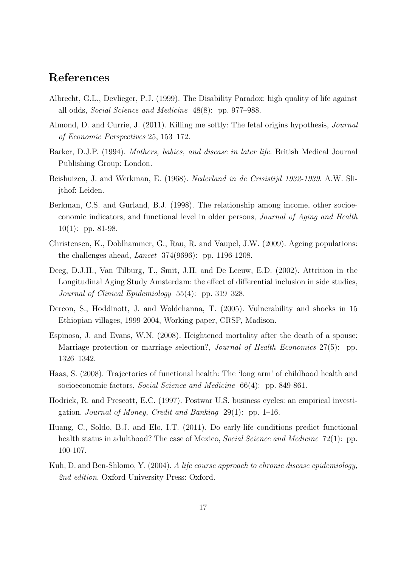## **References**

- Albrecht, G.L., Devlieger, P.J. (1999). The Disability Paradox: high quality of life against all odds, *Social Science and Medicine* 48(8): pp. 977–988.
- Almond, D. and Currie, J. (2011). Killing me softly: The fetal origins hypothesis, *Journal of Economic Perspectives* 25, 153–172.
- Barker, D.J.P. (1994). *Mothers, babies, and disease in later life*. British Medical Journal Publishing Group: London.
- Beishuizen, J. and Werkman, E. (1968). *Nederland in de Crisistijd 1932-1939*. A.W. Slijthof: Leiden.
- Berkman, C.S. and Gurland, B.J. (1998). The relationship among income, other socioeconomic indicators, and functional level in older persons, *Journal of Aging and Health* 10(1): pp. 81-98.
- Christensen, K., Doblhammer, G., Rau, R. and Vaupel, J.W. (2009). Ageing populations: the challenges ahead, *Lancet* 374(9696): pp. 1196-1208.
- Deeg, D.J.H., Van Tilburg, T., Smit, J.H. and De Leeuw, E.D. (2002). Attrition in the Longitudinal Aging Study Amsterdam: the effect of differential inclusion in side studies, *Journal of Clinical Epidemiology* 55(4): pp. 319–328.
- Dercon, S., Hoddinott, J. and Woldehanna, T. (2005). Vulnerability and shocks in 15 Ethiopian villages, 1999-2004, Working paper, CRSP, Madison.
- Espinosa, J. and Evans, W.N. (2008). Heightened mortality after the death of a spouse: Marriage protection or marriage selection?, *Journal of Health Economics* 27(5): pp. 1326–1342.
- Haas, S. (2008). Trajectories of functional health: The 'long arm' of childhood health and socioeconomic factors, *Social Science and Medicine* 66(4): pp. 849-861.
- Hodrick, R. and Prescott, E.C. (1997). Postwar U.S. business cycles: an empirical investigation, *Journal of Money, Credit and Banking* 29(1): pp. 1–16.
- Huang, C., Soldo, B.J. and Elo, I.T. (2011). Do early-life conditions predict functional health status in adulthood? The case of Mexico, *Social Science and Medicine* 72(1): pp. 100-107.
- Kuh, D. and Ben-Shlomo, Y. (2004). *A life course approach to chronic disease epidemiology, 2nd edition*. Oxford University Press: Oxford.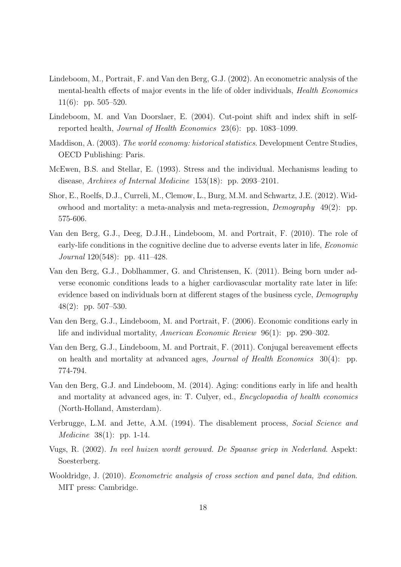- Lindeboom, M., Portrait, F. and Van den Berg, G.J. (2002). An econometric analysis of the mental-health effects of major events in the life of older individuals, *Health Economics*  $11(6)$ : pp.  $505-520$ .
- Lindeboom, M. and Van Doorslaer, E. (2004). Cut-point shift and index shift in selfreported health, *Journal of Health Economics* 23(6): pp. 1083–1099.
- Maddison, A. (2003). *The world economy: historical statistics*. Development Centre Studies, OECD Publishing: Paris.
- McEwen, B.S. and Stellar, E. (1993). Stress and the individual. Mechanisms leading to disease, *Archives of Internal Medicine* 153(18): pp. 2093–2101.
- Shor, E., Roelfs, D.J., Curreli, M., Clemow, L., Burg, M.M. and Schwartz, J.E. (2012). Widowhood and mortality: a meta-analysis and meta-regression, *Demography* 49(2): pp. 575-606.
- Van den Berg, G.J., Deeg, D.J.H., Lindeboom, M. and Portrait, F. (2010). The role of early-life conditions in the cognitive decline due to adverse events later in life, *Economic Journal* 120(548): pp. 411–428.
- Van den Berg, G.J., Doblhammer, G. and Christensen, K. (2011). Being born under adverse economic conditions leads to a higher cardiovascular mortality rate later in life: evidence based on individuals born at different stages of the business cycle, *Demography* 48(2): pp. 507–530.
- Van den Berg, G.J., Lindeboom, M. and Portrait, F. (2006). Economic conditions early in life and individual mortality, *American Economic Review* 96(1): pp. 290–302.
- Van den Berg, G.J., Lindeboom, M. and Portrait, F. (2011). Conjugal bereavement effects on health and mortality at advanced ages, *Journal of Health Economics* 30(4): pp. 774-794.
- Van den Berg, G.J. and Lindeboom, M. (2014). Aging: conditions early in life and health and mortality at advanced ages, in: T. Culyer, ed., *Encyclopaedia of health economics* (North-Holland, Amsterdam).
- Verbrugge, L.M. and Jette, A.M. (1994). The disablement process, *Social Science and Medicine* 38(1): pp. 1-14.
- Vugs, R. (2002). *In veel huizen wordt gerouwd. De Spaanse griep in Nederland*. Aspekt: Soesterberg.
- Wooldridge, J. (2010). *Econometric analysis of cross section and panel data, 2nd edition*. MIT press: Cambridge.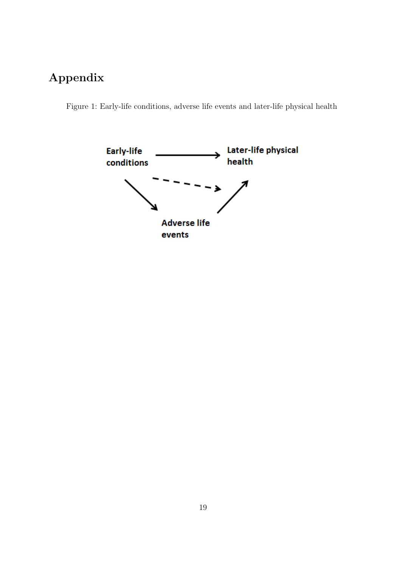## **Appendix**

Figure 1: Early-life conditions, adverse life events and later-life physical health

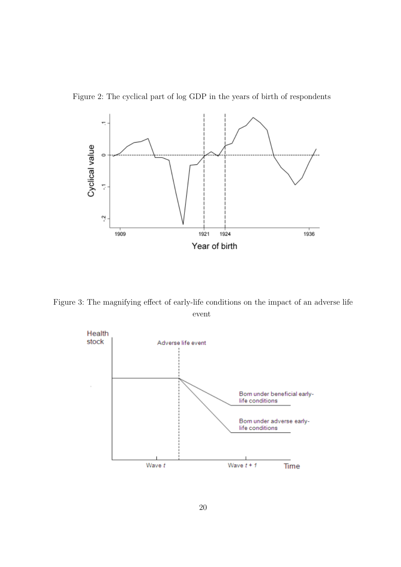Figure 2: The cyclical part of log GDP in the years of birth of respondents



Figure 3: The magnifying effect of early-life conditions on the impact of an adverse life event

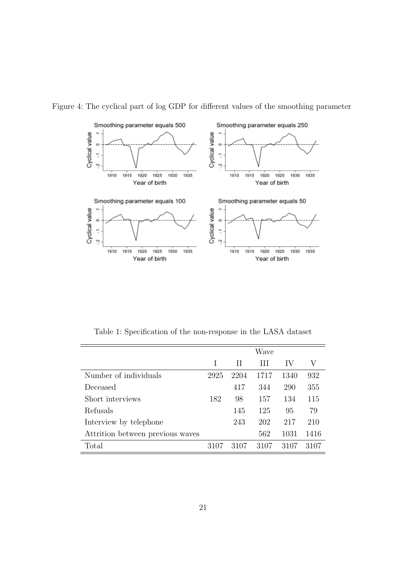

Figure 4: The cyclical part of log GDP for different values of the smoothing parameter

Table 1: Specification of the non-response in the LASA dataset

|                                  |      |      | Wave |      |      |
|----------------------------------|------|------|------|------|------|
|                                  |      | Н    | Ш    | IV   | V    |
| Number of individuals            | 2925 | 2204 | 1717 | 1340 | 932  |
| Deceased                         |      | 417  | 344  | 290  | 355  |
| Short interviews                 | 182  | 98   | 157  | 134  | 115  |
| Refusals                         |      | 145  | 125  | 95   | 79   |
| Interview by telephone           |      | 243  | 202  | 217  | 210  |
| Attrition between previous waves |      |      | 562  | 1031 | 1416 |
| Total                            | 3107 | 3107 | 3107 | 3107 | 3107 |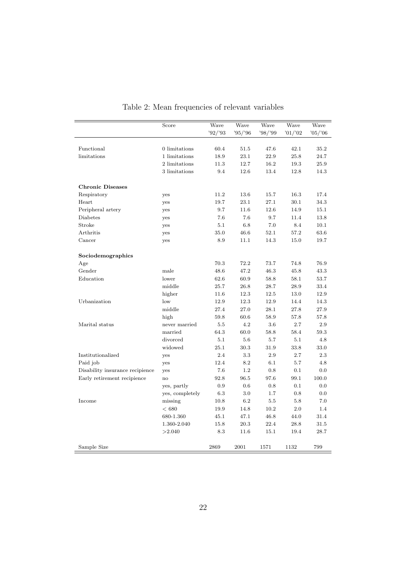|                                 | Score           | Wave<br>'92/93 | Wave<br>95/96 | Wave<br>98/99 | Wave<br>'01/'02 | Wave<br>$'05/{}'06$ |
|---------------------------------|-----------------|----------------|---------------|---------------|-----------------|---------------------|
| Functional                      | 0 limitations   | 60.4           | 51.5          | 47.6          | 42.1            | 35.2                |
| limitations                     | 1 limitations   | 18.9           | 23.1          | 22.9          | 25.8            | 24.7                |
|                                 | 2 limitations   | 11.3           | 12.7          | 16.2          | 19.3            | 25.9                |
|                                 | 3 limitations   | 9.4            | 12.6          | 13.4          | 12.8            | 14.3                |
| <b>Chronic Diseases</b>         |                 |                |               |               |                 |                     |
| Respiratory                     | yes             | 11.2           | 13.6          | 15.7          | 16.3            | 17.4                |
| Heart                           | yes             | 19.7           | 23.1          | 27.1          | 30.1            | 34.3                |
| Peripheral artery               | yes             | 9.7            | 11.6          | 12.6          | 14.9            | 15.1                |
| Diabetes                        | yes             | 7.6            | 7.6           | 9.7           | 11.4            | 13.8                |
| Stroke                          | yes             | 5.1            | 6.8           | 7.0           | 8.4             | 10.1                |
| Arthritis                       | yes             | 35.0           | 46.6          | 52.1          | 57.2            | 63.6                |
| Cancer                          | yes             | 8.9            | 11.1          | 14.3          | 15.0            | 19.7                |
| Sociodemographics               |                 |                |               |               |                 |                     |
| Age                             |                 | 70.3           | 72.2          | 73.7          | 74.8            | 76.9                |
| Gender                          | male            | 48.6           | 47.2          | 46.3          | 45.8            | 43.3                |
| Education                       | lower           | 62.6           | 60.9          | 58.8          | 58.1            | 53.7                |
|                                 | middle          | 25.7           | 26.8          | 28.7          | 28.9            | 33.4                |
|                                 | higher          | 11.6           | 12.3          | 12.5          | 13.0            | 12.9                |
| Urbanization                    | low             | 12.9           | 12.3          | 12.9          | 14.4            | 14.3                |
|                                 | middle          | 27.4           | 27.0          | 28.1          | 27.8            | 27.9                |
|                                 | high            | 59.8           | 60.6          | 58.9          | 57.8            | 57.8                |
| Marital status                  | never married   | 5.5            | 4.2           | 3.6           | 2.7             | 2.9                 |
|                                 | married         | 64.3           | 60.0          | 58.8          | 58.4            | 59.3                |
|                                 | divorced        | 5.1            | 5.6           | 5.7           | 5.1             | 4.8                 |
|                                 | widowed         | 25.1           | 30.3          | 31.9          | 33.8            | 33.0                |
| Institutionalized               | yes             | 2.4            | 3.3           | 2.9           | 2.7             | 2.3                 |
| Paid job                        | yes             | 12.4           | 8.2           | 6.1           | 5.7             | 4.8                 |
| Disability insurance recipience | yes             | 7.6            | 1.2           | 0.8           | 0.1             | 0.0                 |
| Early retirement recipience     | no              | 92.8           | 96.5          | 97.6          | 99.1            | 100.0               |
|                                 | yes, partly     | 0.9            | 0.6           | 0.8           | 0.1             | 0.0                 |
|                                 | yes, completely | 6.3            | 3.0           | 1.7           | 0.8             | 0.0                 |
| Income                          | missing         | 10.8           | 6.2           | 5.5           | 5.8             | 7.0                 |
|                                 | ${}< 680$       | 19.9           | 14.8          | 10.2          | 2.0             | 1.4                 |
|                                 | 680-1.360       | 45.1           | 47.1          | 46.8          | 44.0            | 31.4                |
|                                 | 1.360-2.040     | 15.8           | 20.3          | 22.4          | 28.8            | 31.5                |
|                                 | >2.040          | 8.3            | 11.6          | 15.1          | 19.4            | 28.7                |
| Sample Size                     |                 | 2869           | 2001          | 1571          | 1132            | 799                 |

Table 2: Mean frequencies of relevant variables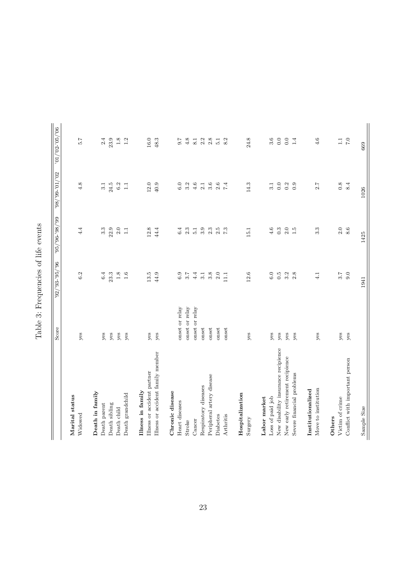| č                                       |
|-----------------------------------------|
| $-1$<br>$\frac{1}{2}$<br>7              |
|                                         |
| סמרה מה נוח <i>ם</i> ת<br>ł<br>֚֓<br>ŗ  |
| Ć                                       |
| )<br>2<br>2<br>2<br>É<br>$\overline{c}$ |

|                                     | Score          | 2/33-'95/'96                                  | 66,/86,-96,/26,  | 20./10<50.66   | $201/702 - 205/706$                       |
|-------------------------------------|----------------|-----------------------------------------------|------------------|----------------|-------------------------------------------|
| Marital status                      |                |                                               |                  |                |                                           |
| Widowed                             | yes            | 6.2                                           | 4.4              | 4.8            | 5.7                                       |
| Death in family                     |                |                                               |                  |                |                                           |
| Death parent                        | yes            | $6.4\,$                                       | $\!3.3$          | 3.1            | $2.4\,$                                   |
| Death sibling                       | yes            |                                               | 22.9             | 24.5           | 23.9                                      |
| Death child                         | yes            | $\begin{array}{c} 23.3 \\ 1.8 \\ \end{array}$ | $2.0\,$          | $6.2$<br>$1.1$ | $\begin{array}{c} 1.8 \\ 1.2 \end{array}$ |
| Death grandchild                    | yes            |                                               | $\Box$           |                |                                           |
| Illness in family                   |                |                                               |                  |                |                                           |
| Illness or accident partner         | yes            | 13.5                                          | 12.8             | $12.0\,$       | 16.0                                      |
| Illness or accident family member   | yes            | 44.9                                          | 44.4             | 40.9           | 48.3                                      |
| Chronic disease                     |                |                                               |                  |                |                                           |
| Heart diseases                      | onset or relay | $6.9\,$                                       | 6.4              | 6.0            | 0.7                                       |
| Stroke                              | onset or relay | $3.7\,$                                       | 2.3              | 3.2            | $4.8$                                     |
| Cancer                              | onset or relay | 4.4                                           | $\overline{5}$ . | 4.6            | $8.1\,$                                   |
| Respiratory diseases                | onset          | 3.1                                           | 3.9              | 2.1            | 2.2                                       |
| Peripheral artery disease           | onset          | $3.8\,$                                       | $2.3\,$          | 3.6            | 2.8                                       |
| Diabetes                            | onset          | $2.0\,$                                       | 2.5              | 2.6            | $\overline{5}$ .                          |
| Arthritis                           | onset          | $\Xi$                                         | $7\cdot3$        | 7.4            | 8.2                                       |
| Hospitalization                     |                |                                               |                  |                |                                           |
| Surgery                             | yes            | 12.6                                          | 15.1             | 14.3           | 24.8                                      |
| Labor market                        |                |                                               |                  |                |                                           |
| Loss of paid job                    | yes            | $6.0\,$                                       | 4.6              | 3.1            | 3.6                                       |
| New disability insurance recipience | yes            | 0.5                                           | $0.\overline{3}$ | 0.0            | 0.0                                       |
| New early retirement recipience     | yes            | 3.2                                           | $2.0$            | 0.2            | $0.0\,$                                   |
| Severe financial problems           | yes            | 2.8                                           | $\frac{1}{5}$    | 0.9            | 1.4                                       |
| Institutionalized                   |                |                                               |                  |                |                                           |
| Move to institution                 | yes            | 4.1                                           | $3.\overline{3}$ | 2.7            | 4.6                                       |
| Others                              |                |                                               |                  |                |                                           |
| Victim of crime                     | yes            | 3.7                                           | 2.0              | 0.8            | $\Box$                                    |
| Conflict with important person      | yes            | 9.0                                           | 8.6              | 8.4            | $\overline{7.0}$                          |
| Sample Size                         |                | 1941                                          | 1425             | 1026           | 669                                       |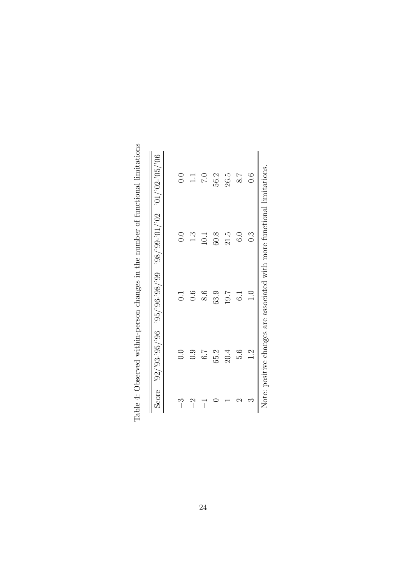|                | ${\rm Sec.} (50.707/10)$ ${\rm Co.} (50.702/96/96)$ ${\rm Ge.} (86.86/96/96)$ ${\rm Ge.} (80.766/66)$ ${\rm co.} (80.766)$ |                  |                  |               |
|----------------|----------------------------------------------------------------------------------------------------------------------------|------------------|------------------|---------------|
|                |                                                                                                                            |                  |                  |               |
|                | 0.0                                                                                                                        | $\overline{0}$ : | 0.0              | 0.0           |
|                | 0.9                                                                                                                        | 0.6              | 1.3              | $\frac{1}{1}$ |
| $\overline{1}$ | 6.7                                                                                                                        | $\frac{8.6}{ }$  | 10.1             | 0.7           |
|                | 65.2                                                                                                                       | 63.9             | 60.8             | 56.2          |
|                | 20.4                                                                                                                       | 19.7             | 21.5             | 26.5          |
|                | 5.6                                                                                                                        | $\ddot{\circ}$   | 0.0              | $\frac{8}{8}$ |
|                | $\frac{2}{1}$                                                                                                              | $\frac{0}{1}$    | $0.\overline{3}$ | $\frac{6}{1}$ |
|                | Note: positive changes are associated with more functional limitations                                                     |                  |                  |               |

Table 4: Observed within-person changes in the number of functional limitations Table 4: Observed within-person changes in the number of functional limitations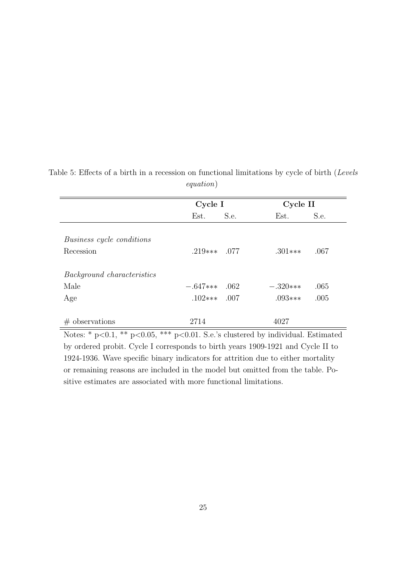|                                   | Cycle I         |      | Cycle II   |      |
|-----------------------------------|-----------------|------|------------|------|
|                                   | Est.            | S.e. | Est.       | S.e. |
| Business cycle conditions         |                 |      |            |      |
| Recession                         | $.219***$ .077  |      | $.301***$  | .067 |
| <i>Background characteristics</i> |                 |      |            |      |
| Male                              | $-.647***$ .062 |      | $-.320***$ | .065 |
| Age                               | $.102***$ .007  |      | $.093***$  | .005 |
|                                   |                 |      |            |      |
| $\#$ observations                 | 2714            |      | 4027       |      |

Table 5: Effects of a birth in a recession on functional limitations by cycle of birth (*Levels equation*)

Notes: \* p*<*0.1, \*\* p*<*0.05, \*\*\* p*<*0.01. S.e.'s clustered by individual. Estimated by ordered probit. Cycle I corresponds to birth years 1909-1921 and Cycle II to 1924-1936. Wave specific binary indicators for attrition due to either mortality or remaining reasons are included in the model but omitted from the table. Positive estimates are associated with more functional limitations.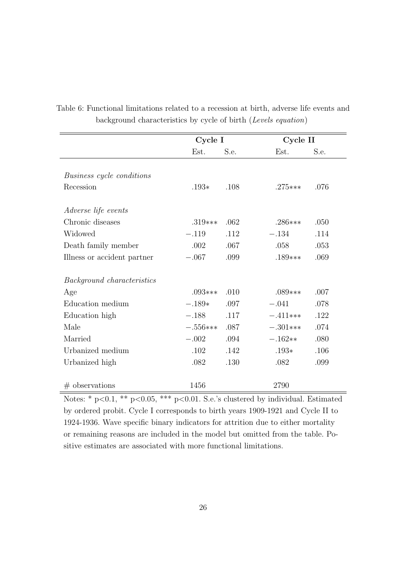|                             | Cycle I    |      | Cycle II   |      |
|-----------------------------|------------|------|------------|------|
|                             | Est.       | S.e. | Est.       | S.e. |
|                             |            |      |            |      |
| Business cycle conditions   |            |      |            |      |
| Recession                   | $.193*$    | .108 | $.275***$  | .076 |
|                             |            |      |            |      |
| Adverse life events         |            |      |            |      |
| Chronic diseases            | $.319***$  | .062 | $.286***$  | .050 |
| Widowed                     | $-.119$    | .112 | $-.134$    | .114 |
| Death family member         | .002       | .067 | .058       | .053 |
| Illness or accident partner | $-.067$    | .099 | $.189***$  | .069 |
|                             |            |      |            |      |
| Background characteristics  |            |      |            |      |
| Age                         | $.093***$  | .010 | $.089***$  | .007 |
| Education medium            | $-.189*$   | .097 | $-.041$    | .078 |
| Education high              | $-.188$    | .117 | $-.411***$ | .122 |
| Male                        | $-.556***$ | .087 | $-.301***$ | .074 |
| Married                     | $-.002$    | .094 | $-.162**$  | .080 |
| Urbanized medium            | .102       | .142 | $.193*$    | .106 |
| Urbanized high              | .082       | .130 | .082       | .099 |
|                             |            |      |            |      |
| $#$ observations            | 1456       |      | 2790       |      |

Table 6: Functional limitations related to a recession at birth, adverse life events and background characteristics by cycle of birth (*Levels equation*)

Notes: \* p*<*0.1, \*\* p*<*0.05, \*\*\* p*<*0.01. S.e.'s clustered by individual. Estimated by ordered probit. Cycle I corresponds to birth years 1909-1921 and Cycle II to 1924-1936. Wave specific binary indicators for attrition due to either mortality or remaining reasons are included in the model but omitted from the table. Positive estimates are associated with more functional limitations.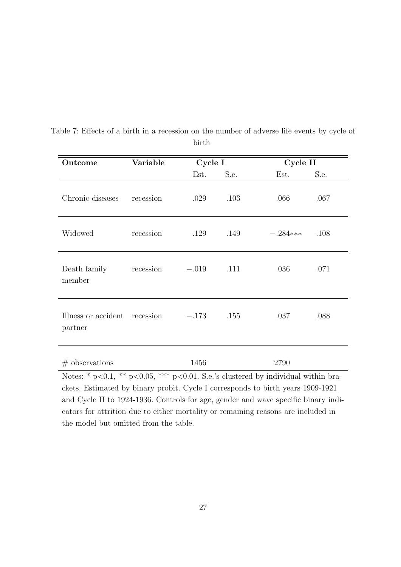| Outcome                                                                                                        | Variable  | Cycle I<br>Cycle II |      |                 |      |
|----------------------------------------------------------------------------------------------------------------|-----------|---------------------|------|-----------------|------|
|                                                                                                                |           | Est.                | S.e. | Est.            | S.e. |
| Chronic diseases recession                                                                                     |           | .029                | .103 | .066            | .067 |
| Widowed                                                                                                        | recession | .129                | .149 | $-.284***$ .108 |      |
| Death family recession $-.019$<br>member                                                                       |           |                     | .111 | .036            | .071 |
| Illness or accident recession<br>partner                                                                       |           | $-.173$             | .155 | .037            | .088 |
| $#$ observations<br>Notes: * $p<0.1$ , ** $p<0.05$ , *** $p<0.01$ . S.e.'s clustered by individual within bra- |           | 1456                |      | 2790            |      |

Table 7: Effects of a birth in a recession on the number of adverse life events by cycle of birth

Notes: \* p*<*0.1, \*\* p*<*0.05, \*\*\* p*<*0.01. S.e.'s clustered by individual within brackets. Estimated by binary probit. Cycle I corresponds to birth years 1909-1921 and Cycle II to 1924-1936. Controls for age, gender and wave specific binary indicators for attrition due to either mortality or remaining reasons are included in the model but omitted from the table.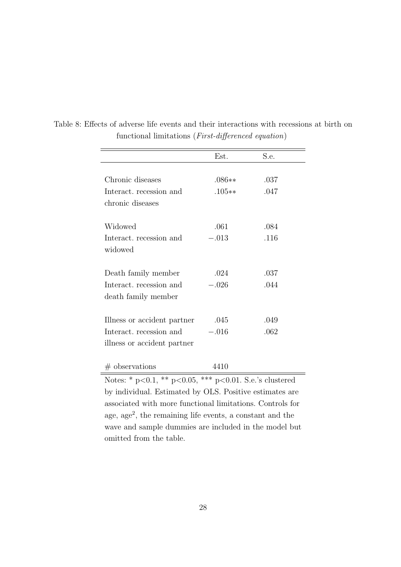|                             | Est.     | S.e. |  |
|-----------------------------|----------|------|--|
|                             |          |      |  |
| Chronic diseases            | $.086**$ | .037 |  |
| Interact. recession and     | $.105**$ | .047 |  |
| chronic diseases            |          |      |  |
|                             |          |      |  |
| Widowed                     | .061     | .084 |  |
| Interact. recession and     | $-.013$  | .116 |  |
| widowed                     |          |      |  |
|                             |          |      |  |
| Death family member         | .024     | .037 |  |
| Interact. recession and     | $-.026$  | .044 |  |
| death family member         |          |      |  |
|                             |          |      |  |
| Illness or accident partner | .045     | .049 |  |
| Interact. recession and     | $-.016$  | .062 |  |
| illness or accident partner |          |      |  |
|                             |          |      |  |
| $#$ observations            | 4410     |      |  |

### Table 8: Effects of adverse life events and their interactions with recessions at birth on functional limitations (*First-differenced equation*)

Notes: \* p*<*0.1, \*\* p*<*0.05, \*\*\* p*<*0.01. S.e.'s clustered by individual. Estimated by OLS. Positive estimates are associated with more functional limitations. Controls for age, age<sup>2</sup>, the remaining life events, a constant and the wave and sample dummies are included in the model but omitted from the table.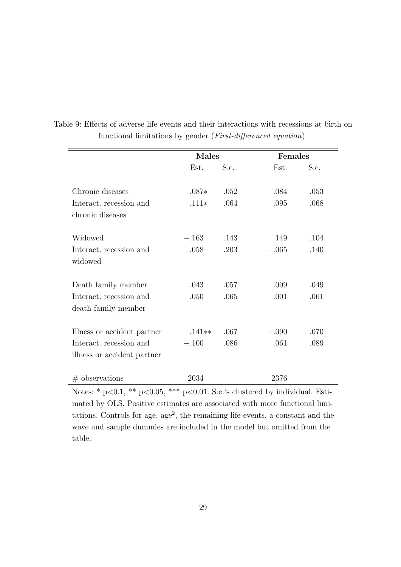|                             | <b>Males</b> |      | Females |      |
|-----------------------------|--------------|------|---------|------|
|                             | Est.         | S.e. | Est.    | S.e. |
|                             |              |      |         |      |
| Chronic diseases            | $.087*$      | .052 | .084    | .053 |
| Interact, recession and     | $.111*$      | .064 | .095    | .068 |
| chronic diseases            |              |      |         |      |
|                             |              |      |         |      |
| Widowed                     | $-.163$      | .143 | .149    | .104 |
| Interact. recession and     | .058         | .203 | $-.065$ | .140 |
| widowed                     |              |      |         |      |
|                             |              |      |         |      |
| Death family member         | .043         | .057 | .009    | .049 |
| Interact, recession and     | $-.050$      | .065 | .001    | .061 |
| death family member         |              |      |         |      |
|                             |              |      |         |      |
| Illness or accident partner | $.141**$     | .067 | $-.090$ | .070 |
| Interact. recession and     | $-.100$      | .086 | .061    | .089 |
| illness or accident partner |              |      |         |      |
|                             |              |      |         |      |
| $#$ observations            | 2034         |      | 2376    |      |

### Table 9: Effects of adverse life events and their interactions with recessions at birth on functional limitations by gender (*First-differenced equation*)

Notes: \* p*<*0.1, \*\* p*<*0.05, \*\*\* p*<*0.01. S.e.'s clustered by individual. Estimated by OLS. Positive estimates are associated with more functional limitations. Controls for age,  $age^2$ , the remaining life events, a constant and the wave and sample dummies are included in the model but omitted from the table.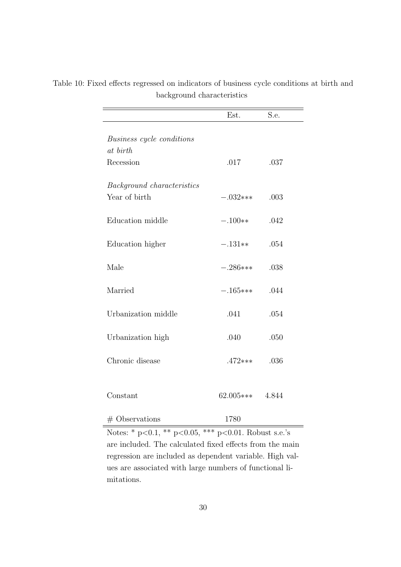|                                       | Est.        | S.e.  |
|---------------------------------------|-------------|-------|
| Business cycle conditions<br>at birth |             |       |
| Recession                             | .017        | .037  |
| Background characteristics            |             |       |
| Year of birth                         | $-.032***$  | .003  |
| Education middle                      | $-.100**$   | .042  |
| Education higher                      | $-.131**$   | .054  |
| Male                                  | $-.286***$  | .038  |
| Married                               | $-.165***$  | .044  |
| Urbanization middle                   | .041        | .054  |
| Urbanization high                     | .040        | .050  |
| Chronic disease                       | $.472***$   | .036  |
| Constant                              | $62.005***$ | 4.844 |
| $#$ Observations                      | 1780        |       |

Table 10: Fixed effects regressed on indicators of business cycle conditions at birth and background characteristics

> Notes: \* p*<*0.1, \*\* p*<*0.05, \*\*\* p*<*0.01. Robust s.e.'s are included. The calculated fixed effects from the main regression are included as dependent variable. High values are associated with large numbers of functional limitations.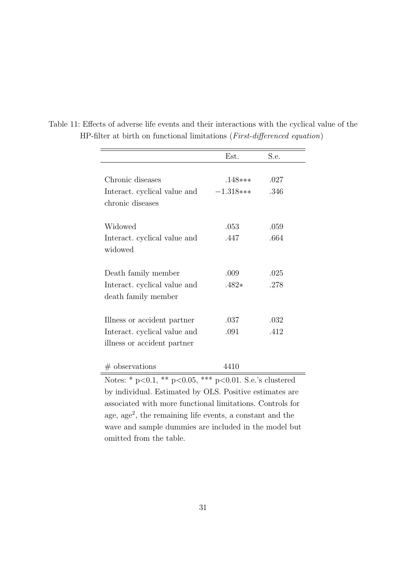|                                                | Est.        | S.e. |
|------------------------------------------------|-------------|------|
|                                                |             |      |
| Chronic diseases                               | .148***     | .027 |
| Interact. cyclical value and                   | $-1.318***$ | .346 |
| chronic diseases                               |             |      |
|                                                |             |      |
| Widowed                                        | .053        | .059 |
| Interact. cyclical value and                   | .447        | .664 |
| widowed                                        |             |      |
|                                                |             |      |
| Death family member                            | .009        | .025 |
| Interact. cyclical value and                   | $.482*$     | .278 |
| death family member                            |             |      |
|                                                |             |      |
| Illness or accident partner                    | .037        | .032 |
| Interact. cyclical value and                   | .091        | .412 |
| illness or accident partner                    |             |      |
|                                                |             |      |
| $#$ observations                               | 4410        |      |
| $N_{\text{other}}$ * $\sim$ 0.1 ** $\sim$ 0.05 | *** .       |      |

Table 11: Effects of adverse life events and their interactions with the cyclical value of the HP-filter at birth on functional limitations (*First-differenced equation*)

Notes: \* p*<*0.1, \*\* p*<*0.05, \*\*\* p*<*0.01. S.e.'s clustered by individual. Estimated by OLS. Positive estimates are associated with more functional limitations. Controls for age, age<sup>2</sup>, the remaining life events, a constant and the wave and sample dummies are included in the model but omitted from the table.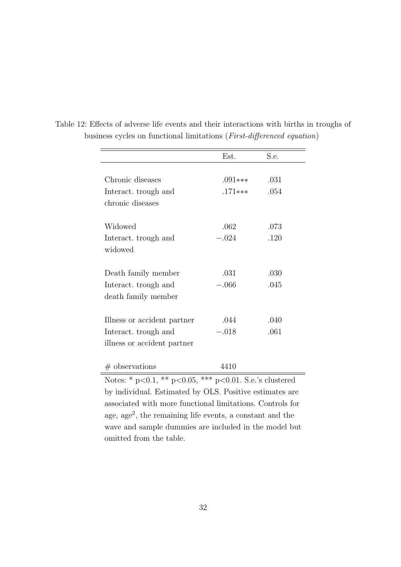|                             | Est.      | S.e. |
|-----------------------------|-----------|------|
|                             |           |      |
| Chronic diseases            | $.091***$ | .031 |
| Interact. trough and        | $.171***$ | .054 |
| chronic diseases            |           |      |
|                             |           |      |
| Widowed                     | .062      | .073 |
| Interact. trough and        | $-.024$   | .120 |
| widowed                     |           |      |
|                             |           |      |
| Death family member         | .031      | .030 |
| Interact. trough and        | $-.066$   | .045 |
| death family member         |           |      |
|                             |           |      |
| Illness or accident partner | .044      | .040 |
| Interact. trough and        | $-.018$   | .061 |
| illness or accident partner |           |      |
|                             |           |      |
| $#$ observations            | 4410      |      |

Table 12: Effects of adverse life events and their interactions with births in troughs of business cycles on functional limitations (*First-differenced equation*)

Notes: \* p*<*0.1, \*\* p*<*0.05, \*\*\* p*<*0.01. S.e.'s clustered by individual. Estimated by OLS. Positive estimates are associated with more functional limitations. Controls for age, age<sup>2</sup>, the remaining life events, a constant and the wave and sample dummies are included in the model but omitted from the table.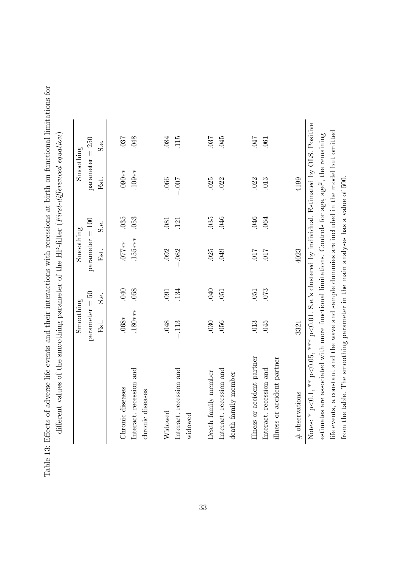|                                                                                                               | Smoothing        |      | Smoothing         |         | Smoothing     |         |
|---------------------------------------------------------------------------------------------------------------|------------------|------|-------------------|---------|---------------|---------|
|                                                                                                               | $parameter = 50$ |      | $parameter = 100$ |         | $parameter =$ | 250     |
|                                                                                                               | Est.             | S.e. | Est.              | ë.<br>S | Est.          | ė.<br>S |
| Chronic diseases                                                                                              | *890             | 040  | $**170.$          | 035     | $.090**$      | 037     |
| Interact, recession and                                                                                       | $.180***$        | .058 | $.155***$         | 053     | $.109**$      | .048    |
| chronic diseases                                                                                              |                  |      |                   |         |               |         |
| Widowed                                                                                                       | .048             | .091 | .092              | .081    | .066          | .084    |
| Interact. recession and                                                                                       | $-.113$          | 134  | $-.082$           | .121    | $-0.007$      | 115     |
| widowed                                                                                                       |                  |      |                   |         |               |         |
| Death family member                                                                                           | 030              | 040  | .025              | 035     | .025          | 037     |
| Interact. recession and                                                                                       | $-0.56$          | 051  | $-0.49$           | 046     | $-.022$       | 045     |
| death family member                                                                                           |                  |      |                   |         |               |         |
| Illness or accident partner                                                                                   | 013              | 051  | 710.              | 046     | .022          | 710.    |
| Interact. recession and                                                                                       | 045              | .073 | $710$ .           | .064    | 013           | .061    |
| illness or accident partner                                                                                   |                  |      |                   |         |               |         |
| # observations                                                                                                | 3321             |      | 4023              |         | 4199          |         |
| Notes: * p<0.1, ** p<0.05, *** p<0.01. S.e.'s clustered by individual. Estimated by OLS. Positive             |                  |      |                   |         |               |         |
| estimates are associated with more functional limitations. Controls for age, age <sup>2</sup> , the remaining |                  |      |                   |         |               |         |
| life events, a constant and the wave and sample dummies are included in the model but omitted                 |                  |      |                   |         |               |         |
| from the table. The smoothing parameter in the main analyses has a value of 500.                              |                  |      |                   |         |               |         |